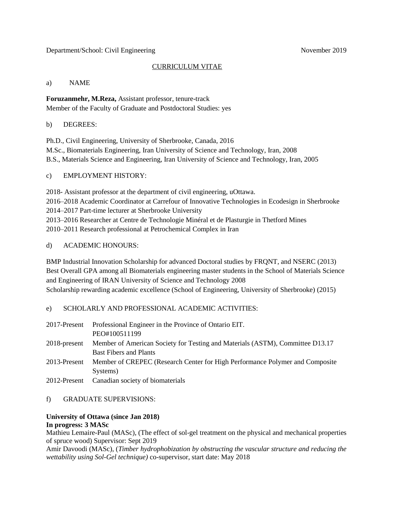### Department/School: Civil Engineering November 2019

## CURRICULUM VITAE

#### a) NAME

**Foruzanmehr, M.Reza,** Assistant professor, tenure-track Member of the Faculty of Graduate and Postdoctoral Studies: yes

## b) DEGREES:

Ph.D., Civil Engineering, University of Sherbrooke, Canada, 2016 M.Sc., Biomaterials Engineering, Iran University of Science and Technology, Iran, 2008 B.S., Materials Science and Engineering, Iran University of Science and Technology, Iran, 2005

# c) EMPLOYMENT HISTORY:

2018- Assistant professor at the department of civil engineering, uOttawa. 2016–2018 Academic Coordinator at Carrefour of Innovative Technologies in Ecodesign in Sherbrooke 2014–2017 Part-time lecturer at Sherbrooke University 2013–2016 Researcher at Centre de Technologie Minéral et de Plasturgie in Thetford Mines 2010–2011 Research professional at Petrochemical Complex in Iran

# d) ACADEMIC HONOURS:

BMP Industrial Innovation Scholarship for advanced Doctoral studies by FRQNT, and NSERC (2013) Best Overall GPA among all Biomaterials engineering master students in the School of Materials Science and Engineering of IRAN University of Science and Technology 2008 Scholarship rewarding academic excellence (School of Engineering, University of Sherbrooke) (2015)

# e) SCHOLARLY AND PROFESSIONAL ACADEMIC ACTIVITIES:

| 2017-Present | Professional Engineer in the Province of Ontario EIT.                         |
|--------------|-------------------------------------------------------------------------------|
|              | PEO#100511199                                                                 |
| 2018-present | Member of American Society for Testing and Materials (ASTM), Committee D13.17 |
|              | <b>Bast Fibers and Plants</b>                                                 |
| 2013-Present | Member of CREPEC (Research Center for High Performance Polymer and Composite  |
|              | Systems)                                                                      |
|              | 2012-Present Canadian society of biomaterials                                 |

### f) GRADUATE SUPERVISIONS:

### **University of Ottawa (since Jan 2018) In progress: 3 MASc**

Mathieu Lemaire-Paul (MASc), (The effect of sol-gel treatment on the physical and mechanical properties of spruce wood) Supervisor: Sept 2019

Amir Davoodi (MASc), (*Timber hydrophobization by obstructing the vascular structure and reducing the wettability using Sol-Gel technique)* co-supervisor, start date: May 2018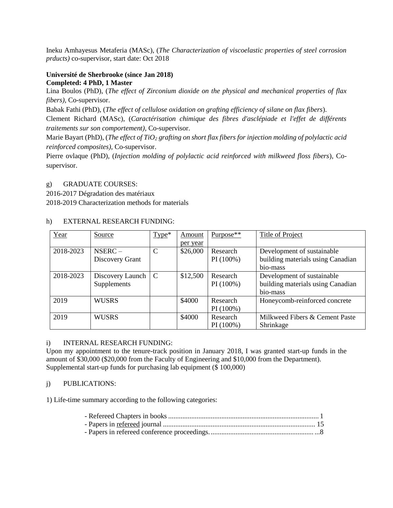Ineku Amhayesus Metaferia (MASc), (*The Characterization of viscoelastic properties of steel corrosion prducts)* co-supervisor, start date: Oct 2018

#### **Université de Sherbrooke (since Jan 2018) Completed: 4 PhD, 1 Master**

Lina Boulos (PhD), (*The effect of Zirconium dioxide on the physical and mechanical properties of flax fibers),* Co-supervisor.

Babak Fathi (PhD), (*The effect of cellulose oxidation on grafting efficiency of silane on flax fibers*).

Clement Richard (MASc), (*Caractérisation chimique des fibres d'asclépiade et l'effet de différents traitements sur son comportement),* Co-supervisor.

Marie Bayart (PhD), (*The effect of TiO<sup>2</sup> grafting on short flax fibers for injection molding of polylactic acid reinforced composites),* Co-supervisor.

Pierre ovlaque (PhD), (*Injection molding of polylactic acid reinforced with milkweed floss fibers*), Cosupervisor.

# g) GRADUATE COURSES:

2016-2017 Dégradation des matériaux

2018-2019 Characterization methods for materials

# h) EXTERNAL RESEARCH FUNDING:

| Year      | Source           | $Type*$       | Amount   | $Purpose**$ | Title of Project                  |
|-----------|------------------|---------------|----------|-------------|-----------------------------------|
|           |                  |               | per year |             |                                   |
| 2018-2023 | $NSERC -$        | $\mathcal{C}$ | \$26,000 | Research    | Development of sustainable        |
|           | Discovery Grant  |               |          | PI(100%)    | building materials using Canadian |
|           |                  |               |          |             | bio-mass                          |
| 2018-2023 | Discovery Launch | $\mathcal{C}$ | \$12,500 | Research    | Development of sustainable        |
|           | Supplements      |               |          | PI(100%)    | building materials using Canadian |
|           |                  |               |          |             | bio-mass                          |
| 2019      | <b>WUSRS</b>     |               | \$4000   | Research    | Honeycomb-reinforced concrete     |
|           |                  |               |          | PI(100%)    |                                   |
| 2019      | <b>WUSRS</b>     |               | \$4000   | Research    | Milkweed Fibers & Cement Paste    |
|           |                  |               |          | PI(100%)    | Shrinkage                         |

### i) INTERNAL RESEARCH FUNDING:

Upon my appointment to the tenure-track position in January 2018, I was granted start-up funds in the amount of \$30,000 (\$20,000 from the Faculty of Engineering and \$10,000 from the Department). Supplemental start-up funds for purchasing lab equipment (\$ 100,000)

# j) PUBLICATIONS:

1) Life-time summary according to the following categories: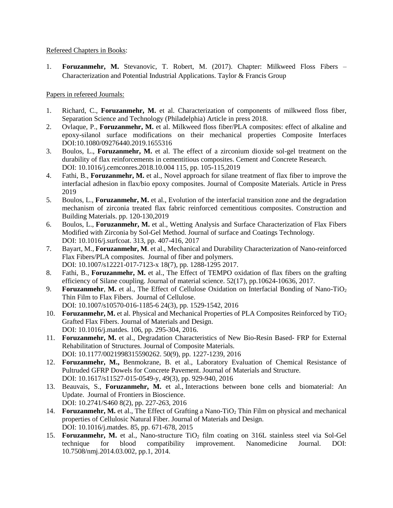## Refereed Chapters in Books:

1. **Foruzanmehr, M.** Stevanovic, T. Robert, M. (2017). Chapter: Milkweed Floss Fibers – Characterization and Potential Industrial Applications. Taylor & Francis Group

# Papers in refereed Journals:

- 1. Richard, C., **Foruzanmehr, M.** et al. Characterization of components of milkweed floss fiber, Separation Science and Technology (Philadelphia) Article in press 2018.
- 2. Ovlaque, P., **Foruzanmehr, M.** et al. Milkweed floss fiber/PLA composites: effect of alkaline and epoxy-silanol surface modifications on their mechanical properties Composite Interfaces DOI:10.1080/09276440.2019.1655316
- 3. Boulos, L., **Foruzanmehr, M.** et al. The effect of a zirconium dioxide sol-gel treatment on the durability of flax reinforcements in cementitious composites. Cement and Concrete Research. DOI: 10.1016/j.cemconres.2018.10.004 115, pp. 105-115,2019
- 4. Fathi, B., **Foruzanmehr, M.** et al., Novel approach for silane treatment of flax fiber to improve the interfacial adhesion in flax/bio epoxy composites. Journal of Composite Materials. Article in Press 2019
- 5. Boulos, L., **Foruzanmehr, M.** et al., Evolution of the interfacial transition zone and the degradation mechanism of zirconia treated flax fabric reinforced cementitious composites. Construction and Building Materials. pp. 120-130,2019
- 6. Boulos, L., **Foruzanmehr, M.** et al., Wetting Analysis and Surface Characterization of Flax Fibers Modified with Zirconia by Sol-Gel Method. Journal of surface and Coatings Technology. DOI: 10.1016/j.surfcoat. 313, pp. 407-416, 2017
- 7. Bayart, M., **Foruzanmehr, M**. et al., Mechanical and Durability Characterization of Nano-reinforced Flax Fibers/PLA composites. Journal of fiber and polymers. DOI: 10.1007/s12221-017-7123-x 18(7), pp. 1288-1295 2017.
- 8. Fathi, B., **Foruzanmehr, M.** et al., The Effect of TEMPO oxidation of flax fibers on the grafting efficiency of Silane coupling. Journal of material science. 52(17), pp.10624-10636, 2017.
- 9. **Foruzanmehr**, **M.** et al., The Effect of Cellulose Oxidation on Interfacial Bonding of Nano-TiO<sup>2</sup> Thin Film to Flax Fibers. Journal of Cellulose. DOI: 10.1007/s10570-016-1185-6 24(3), pp. 1529-1542, 2016
- 10. **Foruzanmehr, M.** et al. Physical and Mechanical Properties of PLA Composites Reinforced by TiO<sup>2</sup> Grafted Flax Fibers. Journal of Materials and Design. DOI: 10.1016/j.matdes. 106, pp. 295-304, 2016.
- 11. **Foruzanmehr, M.** et al., Degradation Characteristics of New Bio-Resin Based- FRP for External Rehabilitation of Structures. Journal of Composite Materials. DOI: 10.1177/0021998315590262. 50(9), pp. 1227-1239, 2016
- 12. **Foruzanmehr, M.,** Benmokrane, B. et al., Laboratory Evaluation of Chemical Resistance of Pultruded GFRP Dowels for Concrete Pavement. Journal of Materials and Structure. DOI: 10.1617/s11527-015-0549-y, 49(3), pp. 929-940, 2016
- 13. Beauvais, S., **Foruzanmehr, M.** et al., Interactions between bone cells and biomaterial: An Update. Journal of Frontiers in Bioscience. DOI: 10.2741/S460 8(2), pp. 227-263, 2016
- 14. **Foruzanmehr, M.** et al., The Effect of Grafting a Nano-TiO<sub>2</sub> Thin Film on physical and mechanical properties of Cellulosic Natural Fiber. Journal of Materials and Design. DOI: 10.1016/j.matdes. 85, pp. 671-678, 2015
- 15. **Foruzanmehr, M.** et al., Nano-structure TiO<sub>2</sub> film coating on 316L stainless steel via Sol-Gel technique for blood compatibility improvement. Nanomedicine Journal. DOI: 10.7508/nmj.2014.03.002, pp.1, 2014.